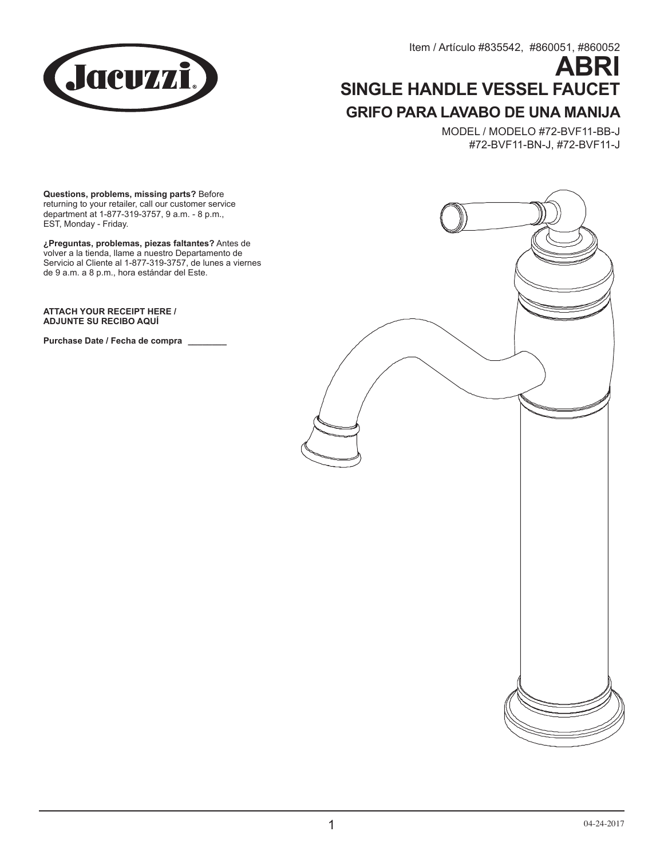

Item / Artículo #835542, #860051, #860052

# **ABRI SINGLE HANDLE VESSEL FAUCET GRIFO PARA LAVABO DE UNA MANIJA**

MODEL / MODELO #72-BVF11-BB-J #72-BVF11-BN-J, #72-BVF11-J

**Questions, problems, missing parts?** Before returning to your retailer, call our customer service department at 1-877-319-3757, 9 a.m. - 8 p.m., EST, Monday - Friday.

**¿Preguntas, problemas, piezas faltantes?** Antes de volver a la tienda, llame a nuestro Departamento de Servicio al Cliente al 1-877-319-3757, de lunes a viernes de 9 a.m. a 8 p.m., hora estándar del Este.

**ATTACH YOUR RECEIPT HERE / ADJUNTE SU RECIBO AQUÍ**

**Purchase Date / Fecha de compra \_\_\_\_\_\_\_\_**

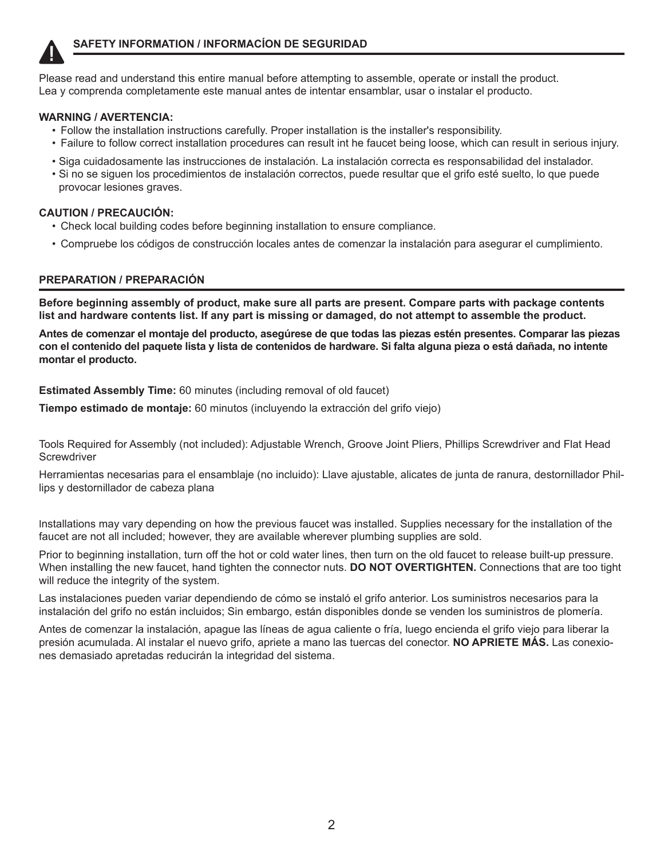

Please read and understand this entire manual before attempting to assemble, operate or install the product. Lea y comprenda completamente este manual antes de intentar ensamblar, usar o instalar el producto.

#### **WARNING / AVERTENCIA:**

- Follow the installation instructions carefully. Proper installation is the installer's responsibility.
- Failure to follow correct installation procedures can result int he faucet being loose, which can result in serious injury.
- Siga cuidadosamente las instrucciones de instalación. La instalación correcta es responsabilidad del instalador.
- Si no se siguen los procedimientos de instalación correctos, puede resultar que el grifo esté suelto, lo que puede provocar lesiones graves.

#### **CAUTION / PRECAUCIÓN:**

- Check local building codes before beginning installation to ensure compliance.
- Compruebe los códigos de construcción locales antes de comenzar la instalación para asegurar el cumplimiento.

## **PREPARATION / PREPARACIÓN**

**Before beginning assembly of product, make sure all parts are present. Compare parts with package contents list and hardware contents list. If any part is missing or damaged, do not attempt to assemble the product.** 

**Antes de comenzar el montaje del producto, asegúrese de que todas las piezas estén presentes. Comparar las piezas con el contenido del paquete lista y lista de contenidos de hardware. Si falta alguna pieza o está dañada, no intente montar el producto.** 

**Estimated Assembly Time:** 60 minutes (including removal of old faucet)

**Tiempo estimado de montaje:** 60 minutos (incluyendo la extracción del grifo viejo)

Tools Required for Assembly (not included): Adjustable Wrench, Groove Joint Pliers, Phillips Screwdriver and Flat Head **Screwdriver** 

Herramientas necesarias para el ensamblaje (no incluido): Llave ajustable, alicates de junta de ranura, destornillador Phillips y destornillador de cabeza plana

Installations may vary depending on how the previous faucet was installed. Supplies necessary for the installation of the faucet are not all included; however, they are available wherever plumbing supplies are sold.

Prior to beginning installation, turn off the hot or cold water lines, then turn on the old faucet to release built-up pressure. When installing the new faucet, hand tighten the connector nuts. **DO NOT OVERTIGHTEN.** Connections that are too tight will reduce the integrity of the system.

Las instalaciones pueden variar dependiendo de cómo se instaló el grifo anterior. Los suministros necesarios para la instalación del grifo no están incluidos; Sin embargo, están disponibles donde se venden los suministros de plomería.

Antes de comenzar la instalación, apague las líneas de agua caliente o fría, luego encienda el grifo viejo para liberar la presión acumulada. Al instalar el nuevo grifo, apriete a mano las tuercas del conector. **NO APRIETE MÁS.** Las conexiones demasiado apretadas reducirán la integridad del sistema.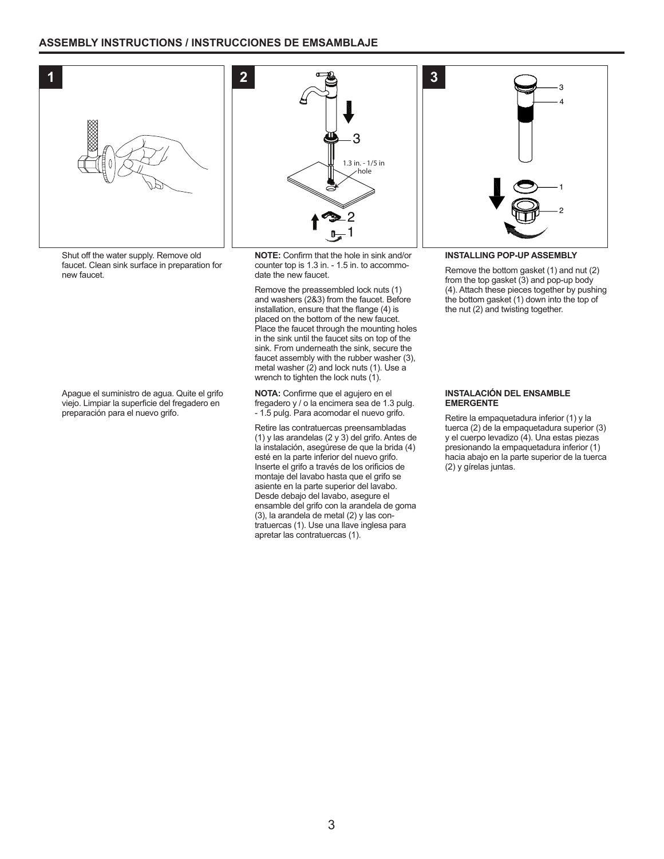

Shut off the water supply. Remove old faucet. Clean sink surface in preparation for new faucet.

Apague el suministro de agua. Quite el grifo viejo. Limpiar la superficie del fregadero en preparación para el nuevo grifo.



**NOTE:** Confirm that the hole in sink and/or counter top is 1.3 in. - 1.5 in. to accommodate the new faucet.

Remove the preassembled lock nuts (1) and washers (2&3) from the faucet. Before installation, ensure that the flange (4) is placed on the bottom of the new faucet. Place the faucet through the mounting holes in the sink until the faucet sits on top of the sink. From underneath the sink, secure the faucet assembly with the rubber washer (3), metal washer (2) and lock nuts (1). Use a wrench to tighten the lock nuts (1).

**NOTA:** Confirme que el agujero en el fregadero y / o la encimera sea de 1.3 pulg. - 1.5 pulg. Para acomodar el nuevo grifo.

Retire las contratuercas preensambladas (1) y las arandelas (2 y 3) del grifo. Antes de la instalación, asegúrese de que la brida (4) esté en la parte inferior del nuevo grifo. Inserte el grifo a través de los orificios de montaje del lavabo hasta que el grifo se asiente en la parte superior del lavabo. Desde debajo del lavabo, asegure el ensamble del grifo con la arandela de goma (3), la arandela de metal (2) y las contratuercas (1). Use una llave inglesa para apretar las contratuercas (1).

#### **INSTALLING POP-UP ASSEMBLY**

Remove the bottom gasket (1) and nut (2) from the top gasket (3) and pop-up body (4). Attach these pieces together by pushing the bottom gasket (1) down into the top of the nut (2) and twisting together.

2

1

3 4

#### **INSTALACIÓN DEL ENSAMBLE EMERGENTE**

Retire la empaquetadura inferior (1) y la tuerca (2) de la empaquetadura superior (3) y el cuerpo levadizo (4). Una estas piezas presionando la empaquetadura inferior (1) hacia abajo en la parte superior de la tuerca (2) y gírelas juntas.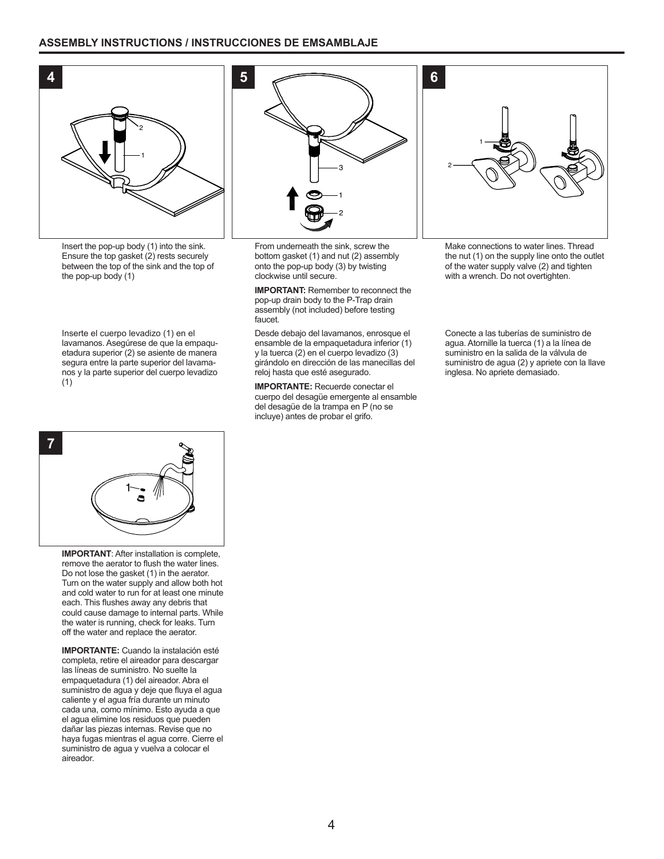#### **ASSEMBLY INSTRUCTIONS / INSTRUCCIONES DE EMSAMBLAJE**



Insert the pop-up body (1) into the sink. Ensure the top gasket (2) rests securely between the top of the sink and the top of the pop-up body (1)

Inserte el cuerpo levadizo (1) en el lavamanos. Asegúrese de que la empaquetadura superior (2) se asiente de manera segura entre la parte superior del lavamanos y la parte superior del cuerpo levadizo (1)



From underneath the sink, screw the bottom gasket (1) and nut (2) assembly onto the pop-up body (3) by twisting clockwise until secure.

**IMPORTANT:** Remember to reconnect the pop-up drain body to the P-Trap drain assembly (not included) before testing faucet.

Desde debajo del lavamanos, enrosque el ensamble de la empaquetadura inferior (1) y la tuerca (2) en el cuerpo levadizo (3) girándolo en dirección de las manecillas del reloj hasta que esté asegurado.

**IMPORTANTE:** Recuerde conectar el cuerpo del desagüe emergente al ensamble del desagüe de la trampa en P (no se incluye) antes de probar el grifo.

**6** 2 1

Make connections to water lines. Thread the nut (1) on the supply line onto the outlet of the water supply valve (2) and tighten with a wrench. Do not overtighten.

Conecte a las tuberías de suministro de agua. Atornille la tuerca (1) a la línea de suministro en la salida de la válvula de suministro de agua (2) y apriete con la llave inglesa. No apriete demasiado.



**IMPORTANT**: After installation is complete, remove the aerator to flush the water lines. Do not lose the gasket (1) in the aerator. Turn on the water supply and allow both hot and cold water to run for at least one minute each. This flushes away any debris that could cause damage to internal parts. While the water is running, check for leaks. Turn off the water and replace the aerator.

**IMPORTANTE:** Cuando la instalación esté completa, retire el aireador para descargar las líneas de suministro. No suelte la empaquetadura (1) del aireador. Abra el suministro de agua y deje que fluya el agua caliente y el agua fría durante un minuto cada una, como mínimo. Esto ayuda a que el agua elimine los residuos que pueden dañar las piezas internas. Revise que no haya fugas mientras el agua corre. Cierre el suministro de agua y vuelva a colocar el aireador.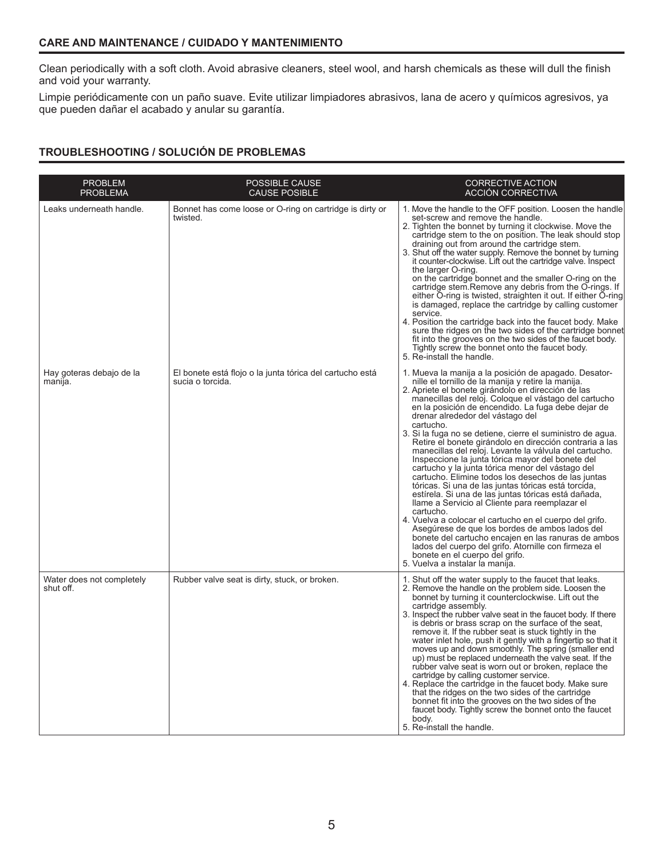### **CARE AND MAINTENANCE / CUIDADO Y MANTENIMIENTO**

Clean periodically with a soft cloth. Avoid abrasive cleaners, steel wool, and harsh chemicals as these will dull the finish and void your warranty.

Limpie periódicamente con un paño suave. Evite utilizar limpiadores abrasivos, lana de acero y químicos agresivos, ya que pueden dañar el acabado y anular su garantía.

## **TROUBLESHOOTING / SOLUCIÓN DE PROBLEMAS**

| <b>PROBLEM</b><br><b>PROBLEMA</b>      | POSSIBLE CAUSE<br><b>CAUSE POSIBLE</b>                                       | <b>CORRECTIVE ACTION</b><br><b>ACCIÓN CORRECTIVA</b>                                                                                                                                                                                                                                                                                                                                                                                                                                                                                                                                                                                                                                                                                                                                                                                                                                                                                                                                                                                                                                                                                                             |
|----------------------------------------|------------------------------------------------------------------------------|------------------------------------------------------------------------------------------------------------------------------------------------------------------------------------------------------------------------------------------------------------------------------------------------------------------------------------------------------------------------------------------------------------------------------------------------------------------------------------------------------------------------------------------------------------------------------------------------------------------------------------------------------------------------------------------------------------------------------------------------------------------------------------------------------------------------------------------------------------------------------------------------------------------------------------------------------------------------------------------------------------------------------------------------------------------------------------------------------------------------------------------------------------------|
| Leaks underneath handle.               | Bonnet has come loose or O-ring on cartridge is dirty or<br>twisted.         | 1. Move the handle to the OFF position. Loosen the handle<br>set-screw and remove the handle.<br>2. Tighten the bonnet by turning it clockwise. Move the<br>cartridge stem to the on position. The leak should stop<br>draining out from around the cartridge stem.<br>3. Shut off the water supply. Remove the bonnet by turning<br>it counter-clockwise. Lift out the cartridge valve. Inspect<br>the larger O-ring.<br>on the cartridge bonnet and the smaller O-ring on the<br>cartridge stem. Remove any debris from the O-rings. If<br>either O-ring is twisted, straighten it out. If either O-ring<br>is damaged, replace the cartridge by calling customer<br>service.<br>4. Position the cartridge back into the faucet body. Make<br>sure the ridges on the two sides of the cartridge bonnet<br>fit into the grooves on the two sides of the faucet body.<br>Tightly screw the bonnet onto the faucet body.<br>5. Re-install the handle.                                                                                                                                                                                                             |
| Hay goteras debajo de la<br>manija.    | El bonete está flojo o la junta tórica del cartucho está<br>sucia o torcida. | 1. Mueva la manija a la posición de apagado. Desator-<br>nille el tornillo de la manija y retire la manija.<br>2. Apriete el bonete girándolo en dirección de las<br>manecillas del reloj. Coloque el vástago del cartucho<br>en la posición de encendido. La fuga debe dejar de<br>drenar alrededor del vástago del<br>cartucho.<br>3. Si la fuga no se detiene, cierre el suministro de agua.<br>Retire el bonete girándolo en dirección contraria a las<br>manecillas del reloj. Levante la válvula del cartucho.<br>Inspeccione la junta tórica mayor del bonete del<br>cartucho y la junta tórica menor del vástago del<br>cartucho. Elimine todos los desechos de las juntas<br>tóricas. Si una de las juntas tóricas está torcida,<br>estírela. Si una de las juntas tóricas está dañada,<br>llame a Servicio al Cliente para reemplazar el<br>cartucho.<br>4. Vuelva a colocar el cartucho en el cuerpo del grifo.<br>Asegúrese de que los bordes de ambos lados del<br>bonete del cartucho encajen en las ranuras de ambos<br>lados del cuerpo del grifo. Atornille con firmeza el<br>bonete en el cuerpo del grifo.<br>5. Vuelva a instalar la manija. |
| Water does not completely<br>shut off. | Rubber valve seat is dirty, stuck, or broken.                                | 1. Shut off the water supply to the faucet that leaks.<br>2. Remove the handle on the problem side. Loosen the<br>bonnet by turning it counterclockwise. Lift out the<br>cartridge assembly.<br>3. Inspect the rubber valve seat in the faucet body. If there<br>is debris or brass scrap on the surface of the seat,<br>remove it. If the rubber seat is stuck tightly in the<br>water inlet hole, push it gently with a fingertip so that it<br>moves up and down smoothly. The spring (smaller end<br>up) must be replaced underneath the valve seat. If the<br>rubber valve seat is worn out or broken, replace the<br>cartridge by calling customer service.<br>4. Replace the cartridge in the faucet body. Make sure<br>that the ridges on the two sides of the cartridge<br>bonnet fit into the grooves on the two sides of the<br>faucet body. Tightly screw the bonnet onto the faucet<br>body.<br>5. Re-install the handle.                                                                                                                                                                                                                           |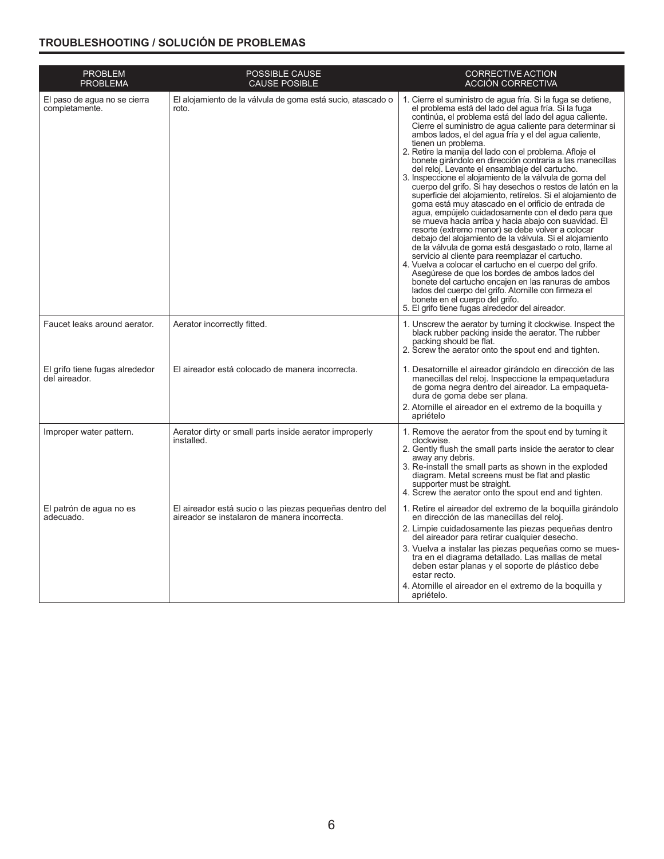## **TROUBLESHOOTING / SOLUCIÓN DE PROBLEMAS**

| <b>PROBLEM</b><br><b>PROBLEMA</b>               | <b>POSSIBLE CAUSE</b><br><b>CAUSE POSIBLE</b>                                                           | <b>CORRECTIVE ACTION</b><br>ACCIÓN CORRECTIVA                                                                                                                                                                                                                                                                                                                                                                                                                                                                                                                                                                                                                                                                                                                                                                                                                                                                                                                                                                                                                                                                                                                                                                                                                                                                                                                                                                |  |
|-------------------------------------------------|---------------------------------------------------------------------------------------------------------|--------------------------------------------------------------------------------------------------------------------------------------------------------------------------------------------------------------------------------------------------------------------------------------------------------------------------------------------------------------------------------------------------------------------------------------------------------------------------------------------------------------------------------------------------------------------------------------------------------------------------------------------------------------------------------------------------------------------------------------------------------------------------------------------------------------------------------------------------------------------------------------------------------------------------------------------------------------------------------------------------------------------------------------------------------------------------------------------------------------------------------------------------------------------------------------------------------------------------------------------------------------------------------------------------------------------------------------------------------------------------------------------------------------|--|
| El paso de agua no se cierra<br>completamente.  | El alojamiento de la válvula de goma está sucio, atascado o<br>roto.                                    | 1. Cierre el suministro de agua fría. Si la fuga se detiene,<br>el problema está del lado del agua fría. Si la fuga<br>continúa, el problema está del lado del aqua caliente.<br>Cierre el suministro de agua caliente para determinar si<br>ambos lados, el del agua fría y el del agua caliente,<br>tienen un problema.<br>2. Retire la manija del lado con el problema. Afloje el<br>bonete girándolo en dirección contraria a las manecillas<br>del reloj. Levante el ensamblaje del cartucho.<br>3. Inspeccione el alojamiento de la válvula de goma del<br>cuerpo del grifo. Si hay desechos o restos de latón en la<br>superficie del alojamiento, retírelos. Si el alojamiento de<br>goma está muy atascado en el orificio de entrada de<br>agua, empújelo cuidadosamente con el dedo para que<br>se mueva hacia arriba y hacia abajo con suavidad. El<br>resorte (extremo menor) se debe volver a colocar<br>debajo del alojamiento de la válvula. Si el alojamiento<br>de la válvula de goma está desgastado o roto, llame al<br>servicio al cliente para reemplazar el cartucho.<br>4. Vuelva a colocar el cartucho en el cuerpo del grifo.<br>Asegúrese de que los bordes de ambos lados del<br>bonete del cartucho encajen en las ranuras de ambos<br>lados del cuerpo del grifo. Atornille con firmeza el<br>bonete en el cuerpo del grifo.<br>5. El grifo tiene fugas alrededor del aireador. |  |
| Faucet leaks around aerator.                    | Aerator incorrectly fitted.                                                                             | 1. Unscrew the aerator by turning it clockwise. Inspect the<br>black rubber packing inside the aerator. The rubber<br>packing should be flat.<br>2. Screw the aerator onto the spout end and tighten.                                                                                                                                                                                                                                                                                                                                                                                                                                                                                                                                                                                                                                                                                                                                                                                                                                                                                                                                                                                                                                                                                                                                                                                                        |  |
| El grifo tiene fugas alrededor<br>del aireador. | El aireador está colocado de manera incorrecta.                                                         | 1. Desatornille el aireador girándolo en dirección de las<br>manecillas del reloj. Inspeccione la empaquetadura<br>de goma negra dentro del aireador. La empaqueta-<br>dura de goma debe ser plana.<br>2. Atornille el aireador en el extremo de la boquilla y<br>apriételo                                                                                                                                                                                                                                                                                                                                                                                                                                                                                                                                                                                                                                                                                                                                                                                                                                                                                                                                                                                                                                                                                                                                  |  |
| Improper water pattern.                         | Aerator dirty or small parts inside aerator improperly<br>installed.                                    | 1. Remove the aerator from the spout end by turning it<br>clockwise.<br>2. Gently flush the small parts inside the aerator to clear<br>away any debris.<br>3. Re-install the small parts as shown in the exploded<br>diagram. Metal screens must be flat and plastic<br>supporter must be straight.<br>4. Screw the aerator onto the spout end and tighten.                                                                                                                                                                                                                                                                                                                                                                                                                                                                                                                                                                                                                                                                                                                                                                                                                                                                                                                                                                                                                                                  |  |
| El patrón de agua no es<br>adecuado.            | El aireador está sucio o las piezas pequeñas dentro del<br>aireador se instalaron de manera incorrecta. | 1. Retire el aireador del extremo de la boquilla girándolo<br>en dirección de las manecillas del reloj.<br>2. Limpie cuidadosamente las piezas pequeñas dentro<br>del aireador para retirar cualquier desecho.<br>3. Vuelva a instalar las piezas pequeñas como se mues-<br>tra en el diagrama detallado. Las mallas de metal<br>deben estar planas y el soporte de plástico debe<br>estar recto.<br>4. Atornille el aireador en el extremo de la boquilla y<br>apriételo.                                                                                                                                                                                                                                                                                                                                                                                                                                                                                                                                                                                                                                                                                                                                                                                                                                                                                                                                   |  |